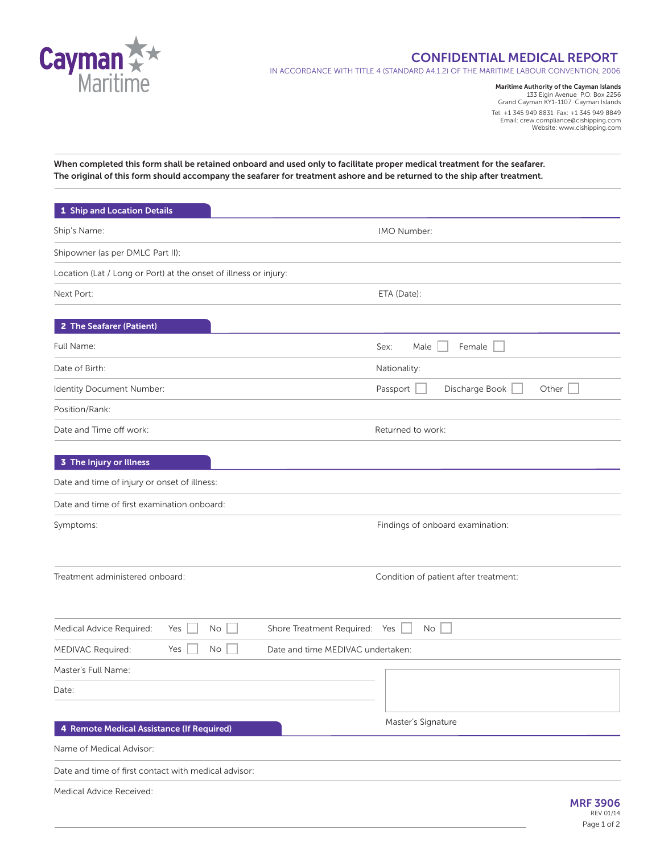

## **CONFIDENTIAL MEDICAL REPORT**

IN ACCORDANCE WITH TITLE 4 (STANDARD A4.1.2) OF THE MARITIME LABOUR CONVENTION, 2006

**Maritime Authority of the Cayman Islands** 133 Elgin Avenue P.O. Box 2256 Grand Cayman KY1-1107 Cayman Islands Tel: +1 345 949 8831 Fax: +1 345 949 8849 Email: crew.compliance@cishipping.com Website: www.cishipping.com

**When completed this form shall be retained onboard and used only to facilitate proper medical treatment for the seafarer. The original of this form should accompany the seafarer for treatment ashore and be returned to the ship after treatment.**

| 1 Ship and Location Details                                      |                                         |  |  |
|------------------------------------------------------------------|-----------------------------------------|--|--|
| Ship's Name:                                                     | IMO Number:                             |  |  |
| Shipowner (as per DMLC Part II):                                 |                                         |  |  |
| Location (Lat / Long or Port) at the onset of illness or injury: |                                         |  |  |
| Next Port:                                                       | ETA (Date):                             |  |  |
|                                                                  |                                         |  |  |
| 2 The Seafarer (Patient)                                         |                                         |  |  |
| Full Name:                                                       | Sex:<br>Female<br>Male                  |  |  |
| Date of Birth:                                                   | Nationality:                            |  |  |
| Identity Document Number:                                        | Passport<br>Discharge Book<br>Other $ $ |  |  |
| Position/Rank:                                                   |                                         |  |  |
| Date and Time off work:                                          | Returned to work:                       |  |  |
| 3 The Injury or Illness                                          |                                         |  |  |
| Date and time of injury or onset of illness:                     |                                         |  |  |
| Date and time of first examination onboard:                      |                                         |  |  |
| Symptoms:                                                        | Findings of onboard examination:        |  |  |
|                                                                  |                                         |  |  |
| Treatment administered onboard:                                  | Condition of patient after treatment:   |  |  |
| Medical Advice Required:<br>Yes<br>No                            | Shore Treatment Required: Yes<br>No     |  |  |
| MEDIVAC Required:<br>Yes<br>No                                   | Date and time MEDIVAC undertaken:       |  |  |
| Master's Full Name:                                              |                                         |  |  |
| Date:                                                            |                                         |  |  |
|                                                                  |                                         |  |  |
| 4 Remote Medical Assistance (If Required)                        | Master's Signature                      |  |  |
| Name of Medical Advisor:                                         |                                         |  |  |
| Date and time of first contact with medical advisor:             |                                         |  |  |
| Medical Advice Received:                                         | <b>MRF 3906</b><br>REV 01/14            |  |  |